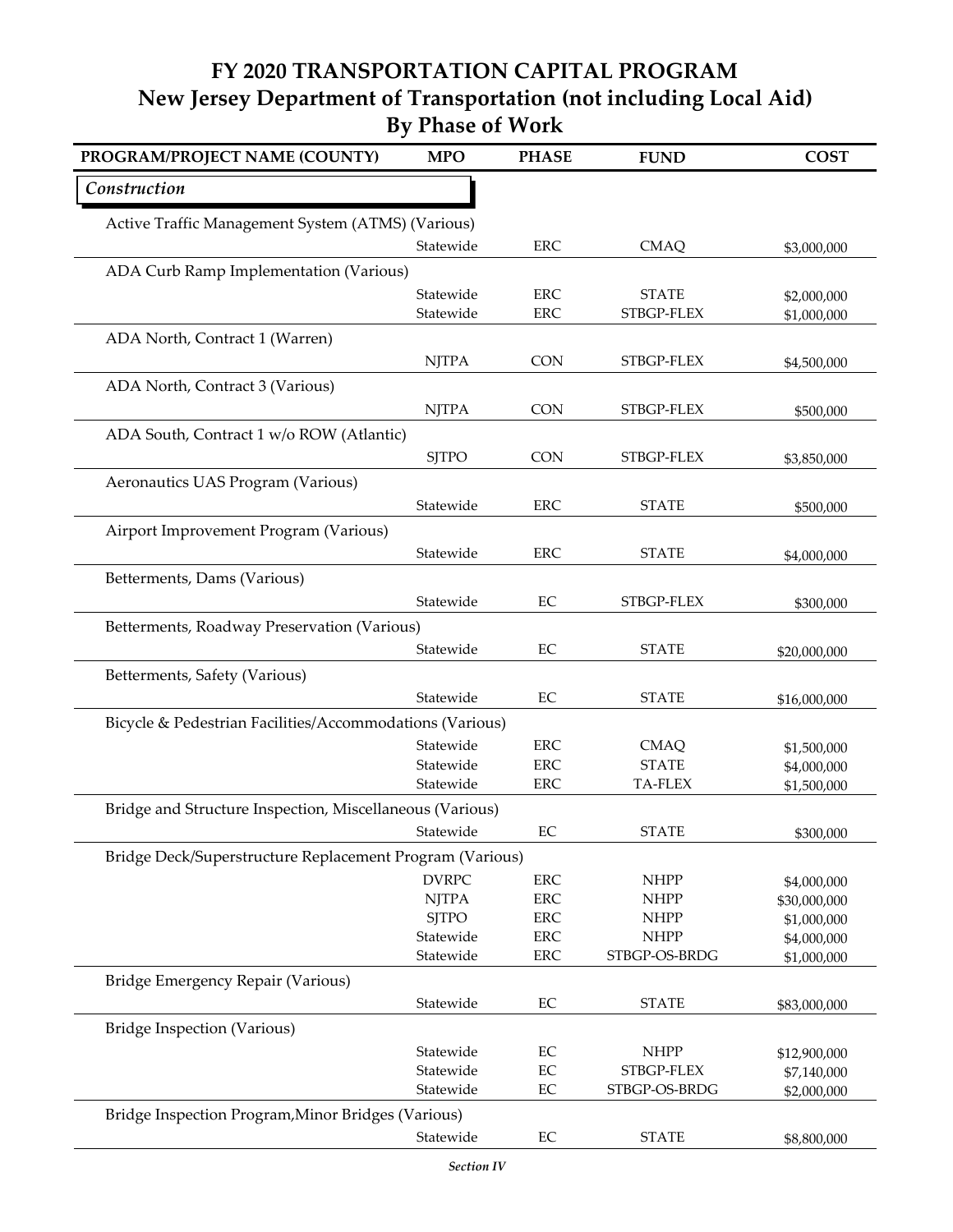| PROGRAM/PROJECT NAME (COUNTY)                            | <b>MPO</b>             | <b>PHASE</b>   | <b>FUND</b>                  | <b>COST</b>                |
|----------------------------------------------------------|------------------------|----------------|------------------------------|----------------------------|
| Construction                                             |                        |                |                              |                            |
| Active Traffic Management System (ATMS) (Various)        |                        |                |                              |                            |
|                                                          | Statewide              | <b>ERC</b>     | <b>CMAQ</b>                  | \$3,000,000                |
| ADA Curb Ramp Implementation (Various)                   |                        |                |                              |                            |
|                                                          | Statewide              | <b>ERC</b>     | <b>STATE</b>                 | \$2,000,000                |
|                                                          | Statewide              | <b>ERC</b>     | STBGP-FLEX                   | \$1,000,000                |
| ADA North, Contract 1 (Warren)                           |                        |                |                              |                            |
|                                                          | <b>NJTPA</b>           | <b>CON</b>     | STBGP-FLEX                   | \$4,500,000                |
| ADA North, Contract 3 (Various)                          |                        |                |                              |                            |
|                                                          | <b>NJTPA</b>           | <b>CON</b>     | STBGP-FLEX                   | \$500,000                  |
| ADA South, Contract 1 w/o ROW (Atlantic)                 |                        |                |                              |                            |
|                                                          | <b>SJTPO</b>           | <b>CON</b>     | STBGP-FLEX                   | \$3,850,000                |
| Aeronautics UAS Program (Various)                        |                        |                |                              |                            |
|                                                          | Statewide              | <b>ERC</b>     | <b>STATE</b>                 | \$500,000                  |
| Airport Improvement Program (Various)                    |                        |                |                              |                            |
|                                                          | Statewide              | <b>ERC</b>     | <b>STATE</b>                 | \$4,000,000                |
| Betterments, Dams (Various)                              |                        |                |                              |                            |
|                                                          | Statewide              | EC             | STBGP-FLEX                   | \$300,000                  |
| Betterments, Roadway Preservation (Various)              |                        |                |                              |                            |
|                                                          | Statewide              | EC             | <b>STATE</b>                 | \$20,000,000               |
| Betterments, Safety (Various)                            |                        |                |                              |                            |
|                                                          | Statewide              | EC             | <b>STATE</b>                 | \$16,000,000               |
| Bicycle & Pedestrian Facilities/Accommodations (Various) |                        |                |                              |                            |
|                                                          | Statewide              | <b>ERC</b>     | <b>CMAO</b>                  | \$1,500,000                |
|                                                          | Statewide              | <b>ERC</b>     | <b>STATE</b>                 | \$4,000,000                |
|                                                          | Statewide              | <b>ERC</b>     | <b>TA-FLEX</b>               | \$1,500,000                |
| Bridge and Structure Inspection, Miscellaneous (Various) |                        |                |                              |                            |
|                                                          | Statewide              | EC             | <b>STATE</b>                 | \$300,000                  |
| Bridge Deck/Superstructure Replacement Program (Various) |                        |                |                              |                            |
|                                                          | <b>DVRPC</b>           | <b>ERC</b>     | <b>NHPP</b>                  | \$4,000,000                |
|                                                          | <b>NJTPA</b>           | <b>ERC</b>     | <b>NHPP</b>                  | \$30,000,000               |
|                                                          | <b>SJTPO</b>           | <b>ERC</b>     | <b>NHPP</b>                  | \$1,000,000                |
|                                                          | Statewide              | <b>ERC</b>     | <b>NHPP</b><br>STBGP-OS-BRDG | \$4,000,000                |
|                                                          | Statewide              | <b>ERC</b>     |                              | \$1,000,000                |
| Bridge Emergency Repair (Various)                        |                        |                |                              |                            |
|                                                          | Statewide              | $\rm EC$       | <b>STATE</b>                 | \$83,000,000               |
| Bridge Inspection (Various)                              |                        |                |                              |                            |
|                                                          | Statewide<br>Statewide | $\rm EC$<br>EC | <b>NHPP</b><br>STBGP-FLEX    | \$12,900,000               |
|                                                          | Statewide              | $\rm EC$       | STBGP-OS-BRDG                | \$7,140,000<br>\$2,000,000 |
| Bridge Inspection Program, Minor Bridges (Various)       |                        |                |                              |                            |
|                                                          | Statewide              | EC             | <b>STATE</b>                 | \$8,800,000                |
|                                                          |                        |                |                              |                            |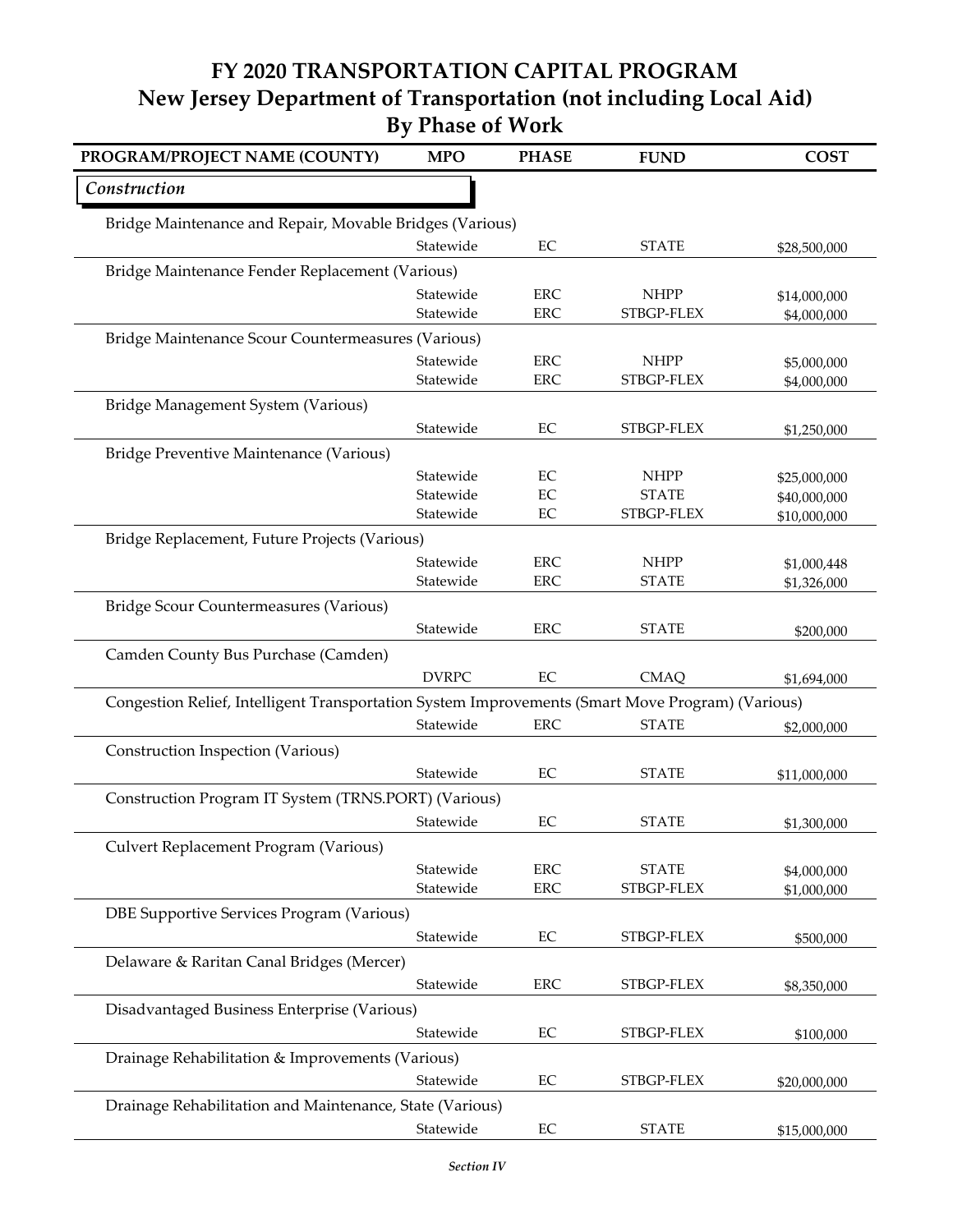| PROGRAM/PROJECT NAME (COUNTY)                                                                    | <b>MPO</b>             | <b>PHASE</b>             | <b>FUND</b>                 | <b>COST</b>                  |  |
|--------------------------------------------------------------------------------------------------|------------------------|--------------------------|-----------------------------|------------------------------|--|
| Construction                                                                                     |                        |                          |                             |                              |  |
| Bridge Maintenance and Repair, Movable Bridges (Various)                                         |                        |                          |                             |                              |  |
|                                                                                                  | Statewide              | EC                       | <b>STATE</b>                | \$28,500,000                 |  |
| Bridge Maintenance Fender Replacement (Various)                                                  |                        |                          |                             |                              |  |
|                                                                                                  | Statewide              | <b>ERC</b>               | <b>NHPP</b>                 | \$14,000,000                 |  |
|                                                                                                  | Statewide              | <b>ERC</b>               | STBGP-FLEX                  | \$4,000,000                  |  |
| Bridge Maintenance Scour Countermeasures (Various)                                               |                        |                          |                             |                              |  |
|                                                                                                  | Statewide<br>Statewide | <b>ERC</b><br><b>ERC</b> | <b>NHPP</b><br>STBGP-FLEX   | \$5,000,000                  |  |
|                                                                                                  |                        |                          |                             | \$4,000,000                  |  |
| Bridge Management System (Various)                                                               |                        |                          |                             |                              |  |
|                                                                                                  | Statewide              | EC                       | STBGP-FLEX                  | \$1,250,000                  |  |
| Bridge Preventive Maintenance (Various)                                                          |                        |                          |                             |                              |  |
|                                                                                                  | Statewide<br>Statewide | EC<br>EC                 | <b>NHPP</b><br><b>STATE</b> | \$25,000,000<br>\$40,000,000 |  |
|                                                                                                  | Statewide              | EC                       | STBGP-FLEX                  | \$10,000,000                 |  |
| Bridge Replacement, Future Projects (Various)                                                    |                        |                          |                             |                              |  |
|                                                                                                  | Statewide              | <b>ERC</b>               | <b>NHPP</b>                 | \$1,000,448                  |  |
|                                                                                                  | Statewide              | <b>ERC</b>               | <b>STATE</b>                | \$1,326,000                  |  |
| Bridge Scour Countermeasures (Various)                                                           |                        |                          |                             |                              |  |
|                                                                                                  | Statewide              | <b>ERC</b>               | <b>STATE</b>                | \$200,000                    |  |
| Camden County Bus Purchase (Camden)                                                              |                        |                          |                             |                              |  |
|                                                                                                  | <b>DVRPC</b>           | EC                       | <b>CMAQ</b>                 | \$1,694,000                  |  |
| Congestion Relief, Intelligent Transportation System Improvements (Smart Move Program) (Various) |                        |                          |                             |                              |  |
|                                                                                                  | Statewide              | <b>ERC</b>               | <b>STATE</b>                | \$2,000,000                  |  |
| Construction Inspection (Various)                                                                |                        |                          |                             |                              |  |
|                                                                                                  | Statewide              | EC                       | <b>STATE</b>                | \$11,000,000                 |  |
| Construction Program IT System (TRNS.PORT) (Various)                                             |                        |                          |                             |                              |  |
|                                                                                                  | Statewide              | EC                       | <b>STATE</b>                | \$1,300,000                  |  |
| Culvert Replacement Program (Various)                                                            |                        |                          |                             |                              |  |
|                                                                                                  | Statewide              | <b>ERC</b>               | <b>STATE</b>                | \$4,000,000                  |  |
|                                                                                                  | Statewide              | <b>ERC</b>               | STBGP-FLEX                  | \$1,000,000                  |  |
| DBE Supportive Services Program (Various)                                                        |                        |                          |                             |                              |  |
|                                                                                                  | Statewide              | $\rm EC$                 | STBGP-FLEX                  | \$500,000                    |  |
| Delaware & Raritan Canal Bridges (Mercer)                                                        |                        |                          |                             |                              |  |
|                                                                                                  | Statewide              | ERC                      | STBGP-FLEX                  | \$8,350,000                  |  |
| Disadvantaged Business Enterprise (Various)                                                      |                        |                          |                             |                              |  |
|                                                                                                  | Statewide              | EC                       | STBGP-FLEX                  | \$100,000                    |  |
| Drainage Rehabilitation & Improvements (Various)                                                 |                        |                          |                             |                              |  |
|                                                                                                  | Statewide              | $\rm EC$                 | STBGP-FLEX                  | \$20,000,000                 |  |
| Drainage Rehabilitation and Maintenance, State (Various)                                         |                        |                          |                             |                              |  |
|                                                                                                  | Statewide              | $\rm EC$                 | <b>STATE</b>                | \$15,000,000                 |  |
|                                                                                                  |                        |                          |                             |                              |  |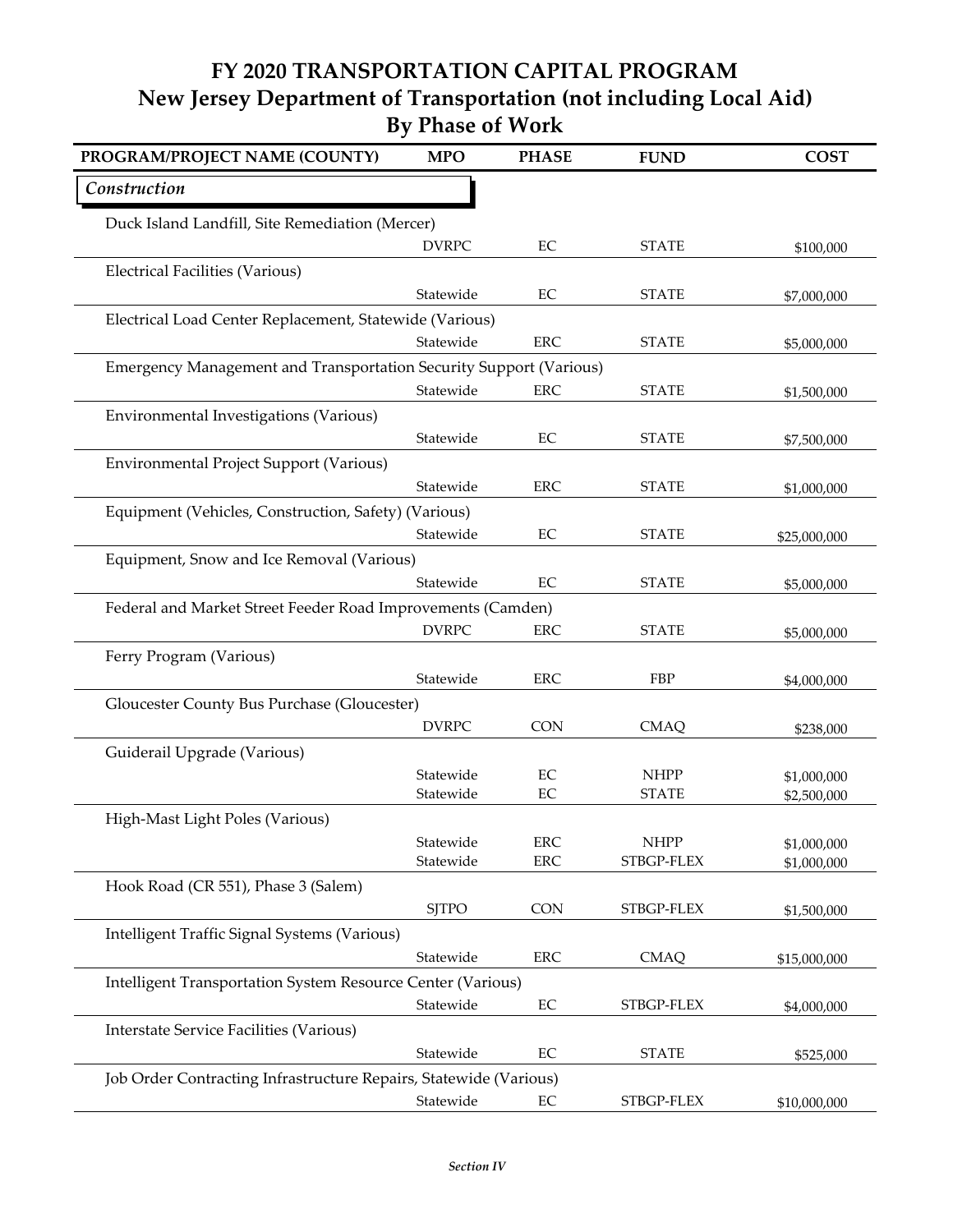| PROGRAM/PROJECT NAME (COUNTY)                                      | <b>MPO</b>   | <b>PHASE</b> | <b>FUND</b>  | <b>COST</b>  |
|--------------------------------------------------------------------|--------------|--------------|--------------|--------------|
| Construction                                                       |              |              |              |              |
| Duck Island Landfill, Site Remediation (Mercer)                    |              |              |              |              |
|                                                                    | <b>DVRPC</b> | $\rm EC$     | <b>STATE</b> | \$100,000    |
| <b>Electrical Facilities (Various)</b>                             |              |              |              |              |
|                                                                    | Statewide    | EC           | <b>STATE</b> | \$7,000,000  |
| Electrical Load Center Replacement, Statewide (Various)            |              |              |              |              |
|                                                                    | Statewide    | <b>ERC</b>   | <b>STATE</b> | \$5,000,000  |
| Emergency Management and Transportation Security Support (Various) |              |              |              |              |
|                                                                    | Statewide    | <b>ERC</b>   | <b>STATE</b> | \$1,500,000  |
| Environmental Investigations (Various)                             |              |              |              |              |
|                                                                    | Statewide    | $\rm EC$     | <b>STATE</b> | \$7,500,000  |
| Environmental Project Support (Various)                            |              |              |              |              |
|                                                                    | Statewide    | <b>ERC</b>   | <b>STATE</b> | \$1,000,000  |
| Equipment (Vehicles, Construction, Safety) (Various)               |              |              |              |              |
|                                                                    | Statewide    | $\rm EC$     | <b>STATE</b> | \$25,000,000 |
| Equipment, Snow and Ice Removal (Various)                          |              |              |              |              |
|                                                                    | Statewide    | EC           | <b>STATE</b> | \$5,000,000  |
| Federal and Market Street Feeder Road Improvements (Camden)        |              |              |              |              |
|                                                                    | <b>DVRPC</b> | <b>ERC</b>   | <b>STATE</b> | \$5,000,000  |
| Ferry Program (Various)                                            |              |              |              |              |
|                                                                    | Statewide    | ERC          | FBP          | \$4,000,000  |
| Gloucester County Bus Purchase (Gloucester)                        |              |              |              |              |
|                                                                    | <b>DVRPC</b> | <b>CON</b>   | <b>CMAQ</b>  | \$238,000    |
| Guiderail Upgrade (Various)                                        |              |              |              |              |
|                                                                    | Statewide    | $\rm EC$     | <b>NHPP</b>  | \$1,000,000  |
|                                                                    | Statewide    | EC           | <b>STATE</b> | \$2,500,000  |
| High-Mast Light Poles (Various)                                    |              |              |              |              |
|                                                                    | Statewide    | ERC          | <b>NHPP</b>  | \$1,000,000  |
|                                                                    | Statewide    | <b>ERC</b>   | STBGP-FLEX   | \$1,000,000  |
| Hook Road (CR 551), Phase 3 (Salem)                                |              |              |              |              |
|                                                                    | <b>SJTPO</b> | <b>CON</b>   | STBGP-FLEX   | \$1,500,000  |
| Intelligent Traffic Signal Systems (Various)                       |              |              |              |              |
|                                                                    | Statewide    | ERC          | <b>CMAQ</b>  | \$15,000,000 |
| Intelligent Transportation System Resource Center (Various)        |              |              |              |              |
|                                                                    | Statewide    | $\rm EC$     | STBGP-FLEX   | \$4,000,000  |
| Interstate Service Facilities (Various)                            |              |              |              |              |
|                                                                    | Statewide    | $\rm EC$     | <b>STATE</b> | \$525,000    |
| Job Order Contracting Infrastructure Repairs, Statewide (Various)  |              |              |              |              |
|                                                                    | Statewide    | $\rm EC$     | STBGP-FLEX   | \$10,000,000 |
|                                                                    |              |              |              |              |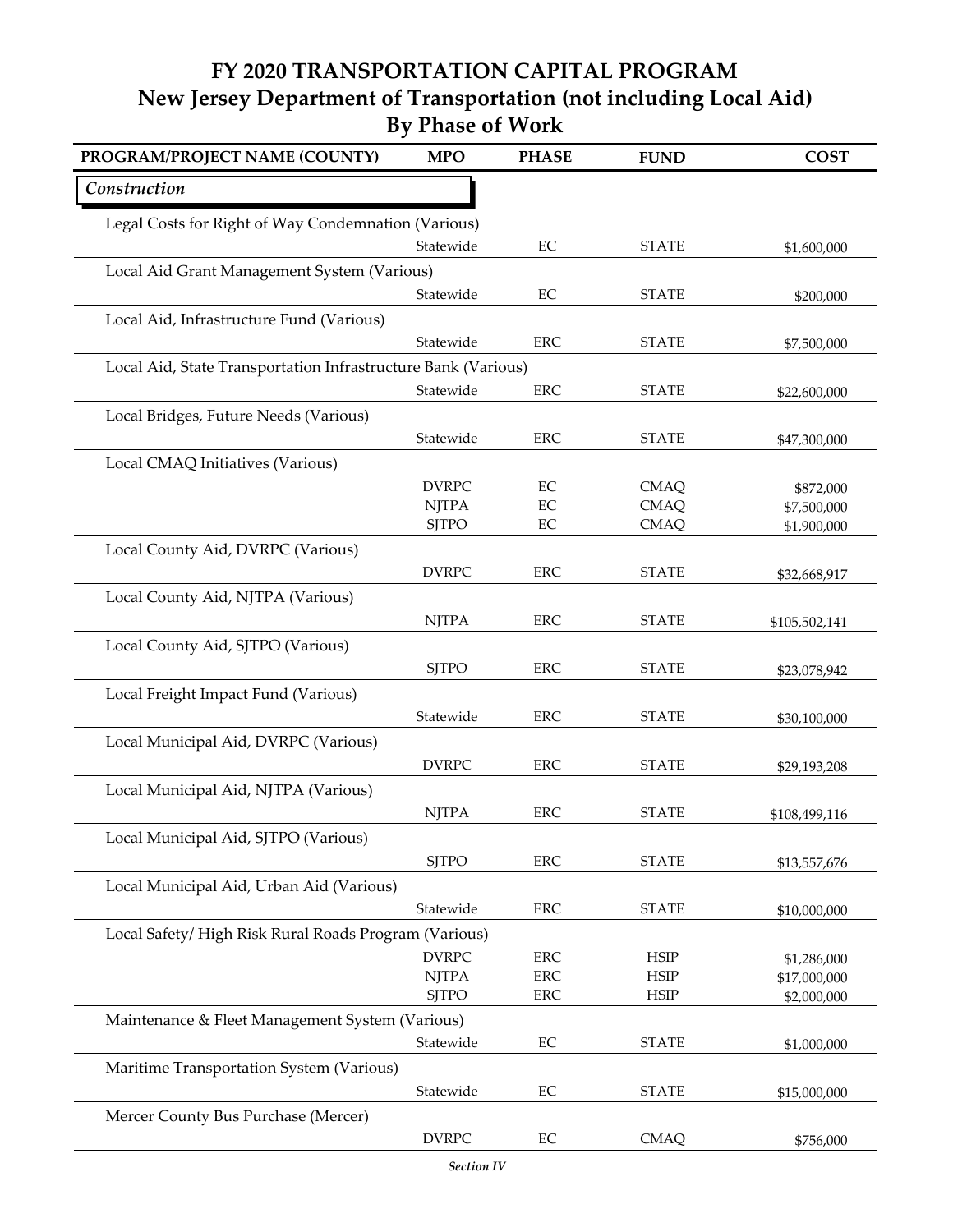| PROGRAM/PROJECT NAME (COUNTY)                                 | <b>MPO</b>   | <b>PHASE</b>   | <b>FUND</b>                | <b>COST</b>                 |
|---------------------------------------------------------------|--------------|----------------|----------------------------|-----------------------------|
| Construction                                                  |              |                |                            |                             |
| Legal Costs for Right of Way Condemnation (Various)           |              |                |                            |                             |
|                                                               | Statewide    | $\rm EC$       | <b>STATE</b>               | \$1,600,000                 |
| Local Aid Grant Management System (Various)                   |              |                |                            |                             |
|                                                               | Statewide    | EC             | <b>STATE</b>               | \$200,000                   |
| Local Aid, Infrastructure Fund (Various)                      |              |                |                            |                             |
|                                                               | Statewide    | <b>ERC</b>     | <b>STATE</b>               | \$7,500,000                 |
| Local Aid, State Transportation Infrastructure Bank (Various) |              |                |                            |                             |
|                                                               | Statewide    | ERC            | <b>STATE</b>               | \$22,600,000                |
| Local Bridges, Future Needs (Various)                         |              |                |                            |                             |
|                                                               | Statewide    | <b>ERC</b>     | <b>STATE</b>               | \$47,300,000                |
| Local CMAQ Initiatives (Various)                              | <b>DVRPC</b> |                |                            |                             |
|                                                               | <b>NJTPA</b> | EC<br>$\rm EC$ | <b>CMAQ</b><br><b>CMAQ</b> | \$872,000<br>\$7,500,000    |
|                                                               | <b>SJTPO</b> | $\rm EC$       | <b>CMAQ</b>                | \$1,900,000                 |
| Local County Aid, DVRPC (Various)                             |              |                |                            |                             |
|                                                               | <b>DVRPC</b> | <b>ERC</b>     | <b>STATE</b>               | \$32,668,917                |
| Local County Aid, NJTPA (Various)                             |              |                |                            |                             |
|                                                               | <b>NJTPA</b> | <b>ERC</b>     | <b>STATE</b>               | \$105,502,141               |
| Local County Aid, SJTPO (Various)                             |              |                |                            |                             |
|                                                               | <b>SJTPO</b> | <b>ERC</b>     | <b>STATE</b>               | \$23,078,942                |
| Local Freight Impact Fund (Various)                           |              |                |                            |                             |
|                                                               | Statewide    | <b>ERC</b>     | <b>STATE</b>               | \$30,100,000                |
| Local Municipal Aid, DVRPC (Various)                          |              |                |                            |                             |
|                                                               | <b>DVRPC</b> | <b>ERC</b>     | <b>STATE</b>               | \$29,193,208                |
| Local Municipal Aid, NJTPA (Various)                          |              |                |                            |                             |
|                                                               | <b>NJTPA</b> | <b>ERC</b>     | <b>STATE</b>               | \$108,499,116               |
| Local Municipal Aid, SJTPO (Various)                          |              |                |                            |                             |
|                                                               | <b>SJTPO</b> | <b>ERC</b>     | <b>STATE</b>               | \$13,557,676                |
| Local Municipal Aid, Urban Aid (Various)                      |              |                |                            |                             |
|                                                               | Statewide    | <b>ERC</b>     | <b>STATE</b>               | \$10,000,000                |
| Local Safety/High Risk Rural Roads Program (Various)          | <b>DVRPC</b> | <b>ERC</b>     |                            |                             |
|                                                               | <b>NJTPA</b> | ERC            | <b>HSIP</b><br><b>HSIP</b> | \$1,286,000<br>\$17,000,000 |
|                                                               | <b>SJTPO</b> | ERC            | HSIP                       | \$2,000,000                 |
| Maintenance & Fleet Management System (Various)               |              |                |                            |                             |
|                                                               | Statewide    | $\rm EC$       | <b>STATE</b>               | \$1,000,000                 |
| Maritime Transportation System (Various)                      |              |                |                            |                             |
|                                                               | Statewide    | EC             | <b>STATE</b>               | \$15,000,000                |
| Mercer County Bus Purchase (Mercer)                           |              |                |                            |                             |
|                                                               | <b>DVRPC</b> | EC             | <b>CMAQ</b>                | \$756,000                   |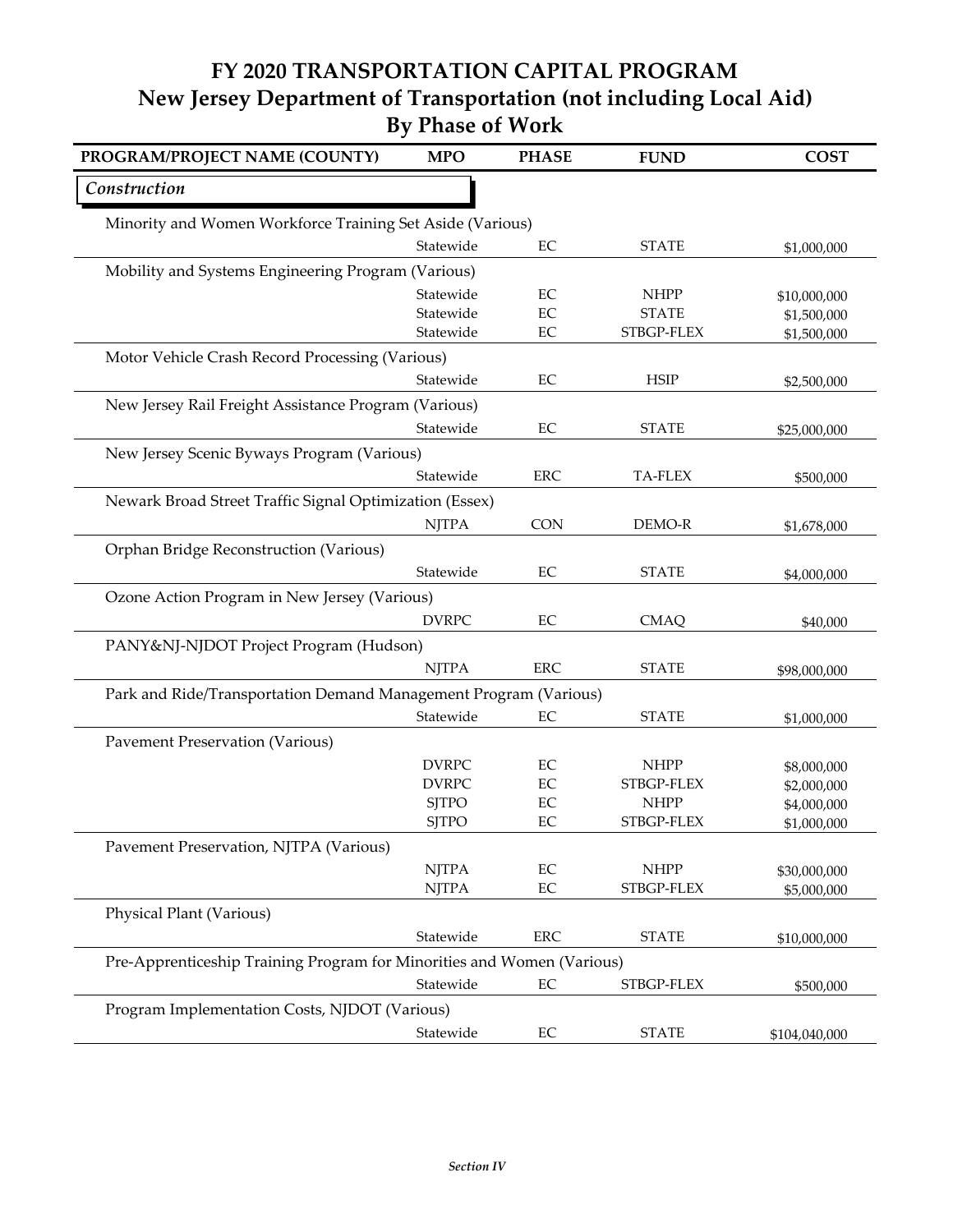| PROGRAM/PROJECT NAME (COUNTY)                                          | <b>MPO</b>   | <b>PHASE</b> | <b>FUND</b>    | <b>COST</b>   |
|------------------------------------------------------------------------|--------------|--------------|----------------|---------------|
| Construction                                                           |              |              |                |               |
| Minority and Women Workforce Training Set Aside (Various)              |              |              |                |               |
|                                                                        | Statewide    | EC           | <b>STATE</b>   | \$1,000,000   |
| Mobility and Systems Engineering Program (Various)                     |              |              |                |               |
|                                                                        | Statewide    | EC           | <b>NHPP</b>    | \$10,000,000  |
|                                                                        | Statewide    | EC           | <b>STATE</b>   | \$1,500,000   |
|                                                                        | Statewide    | EC           | STBGP-FLEX     | \$1,500,000   |
| Motor Vehicle Crash Record Processing (Various)                        |              |              |                |               |
|                                                                        | Statewide    | EC           | <b>HSIP</b>    | \$2,500,000   |
| New Jersey Rail Freight Assistance Program (Various)                   |              |              |                |               |
|                                                                        | Statewide    | EC           | <b>STATE</b>   | \$25,000,000  |
| New Jersey Scenic Byways Program (Various)                             |              |              |                |               |
|                                                                        | Statewide    | <b>ERC</b>   | <b>TA-FLEX</b> | \$500,000     |
| Newark Broad Street Traffic Signal Optimization (Essex)                |              |              |                |               |
|                                                                        | <b>NJTPA</b> | <b>CON</b>   | DEMO-R         | \$1,678,000   |
| Orphan Bridge Reconstruction (Various)                                 |              |              |                |               |
|                                                                        | Statewide    | $\rm EC$     | <b>STATE</b>   | \$4,000,000   |
| Ozone Action Program in New Jersey (Various)                           |              |              |                |               |
|                                                                        | <b>DVRPC</b> | EC           | <b>CMAQ</b>    |               |
|                                                                        |              |              |                | \$40,000      |
| PANY&NJ-NJDOT Project Program (Hudson)                                 |              |              |                |               |
|                                                                        | <b>NJTPA</b> | <b>ERC</b>   | <b>STATE</b>   | \$98,000,000  |
| Park and Ride/Transportation Demand Management Program (Various)       |              |              |                |               |
|                                                                        | Statewide    | $\rm EC$     | <b>STATE</b>   | \$1,000,000   |
| <b>Pavement Preservation (Various)</b>                                 |              |              |                |               |
|                                                                        | <b>DVRPC</b> | $\rm EC$     | <b>NHPP</b>    | \$8,000,000   |
|                                                                        | <b>DVRPC</b> | EC           | STBGP-FLEX     | \$2,000,000   |
|                                                                        | <b>SJTPO</b> | EC           | <b>NHPP</b>    | \$4,000,000   |
|                                                                        | <b>SJTPO</b> | EC           | STBGP-FLEX     | \$1,000,000   |
| Pavement Preservation, NJTPA (Various)                                 |              |              |                |               |
|                                                                        | <b>NJTPA</b> | $\rm EC$     | <b>NHPP</b>    | \$30,000,000  |
|                                                                        | <b>NJTPA</b> | $\rm EC$     | STBGP-FLEX     | \$5,000,000   |
| Physical Plant (Various)                                               |              |              |                |               |
|                                                                        | Statewide    | ERC          | <b>STATE</b>   | \$10,000,000  |
| Pre-Apprenticeship Training Program for Minorities and Women (Various) |              |              |                |               |
|                                                                        | Statewide    | $\rm EC$     | STBGP-FLEX     | \$500,000     |
| Program Implementation Costs, NJDOT (Various)                          |              |              |                |               |
|                                                                        | Statewide    | $\rm EC$     | <b>STATE</b>   | \$104,040,000 |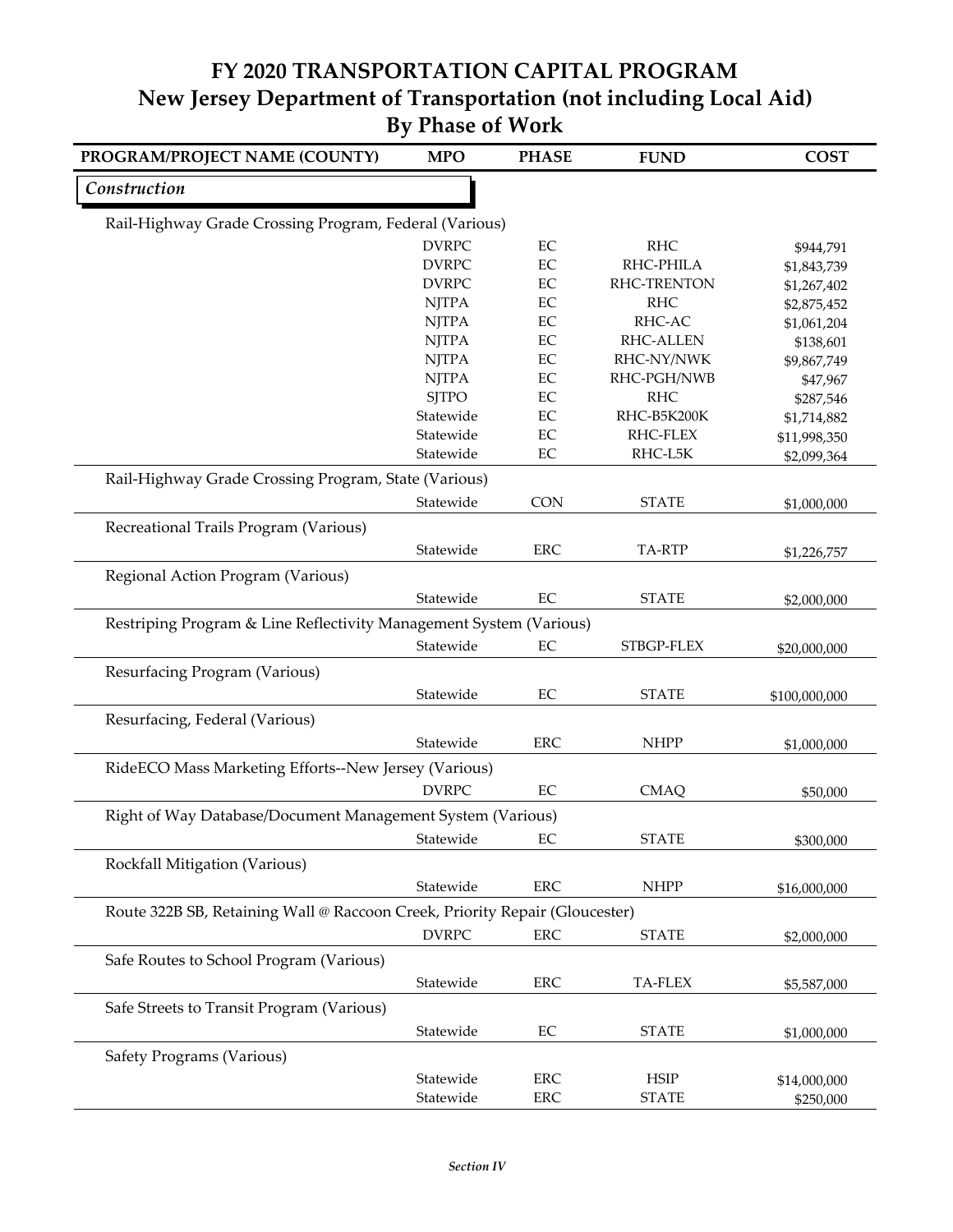| PROGRAM/PROJECT NAME (COUNTY)                                               | <b>MPO</b>   | <b>PHASE</b> | <b>FUND</b>         | <b>COST</b>   |
|-----------------------------------------------------------------------------|--------------|--------------|---------------------|---------------|
| Construction                                                                |              |              |                     |               |
| Rail-Highway Grade Crossing Program, Federal (Various)                      |              |              |                     |               |
|                                                                             | <b>DVRPC</b> | EC           | <b>RHC</b>          | \$944,791     |
|                                                                             | <b>DVRPC</b> | EC           | RHC-PHILA           | \$1,843,739   |
|                                                                             | <b>DVRPC</b> | EC           | RHC-TRENTON         | \$1,267,402   |
|                                                                             | <b>NJTPA</b> | EC           | <b>RHC</b>          | \$2,875,452   |
|                                                                             | <b>NJTPA</b> | EC           | RHC-AC              | \$1,061,204   |
|                                                                             | <b>NJTPA</b> | EC           | RHC-ALLEN           | \$138,601     |
|                                                                             | <b>NJTPA</b> | EC           | RHC-NY/NWK          | \$9,867,749   |
|                                                                             | <b>NJTPA</b> | EC           | RHC-PGH/NWB         | \$47,967      |
|                                                                             | <b>SJTPO</b> | EC           | <b>RHC</b>          | \$287,546     |
|                                                                             | Statewide    | $\rm EC$     | RHC-B5K200K         | \$1,714,882   |
|                                                                             | Statewide    | $\rm EC$     | RHC-FLEX<br>RHC-L5K | \$11,998,350  |
|                                                                             | Statewide    | $\rm EC$     |                     | \$2,099,364   |
| Rail-Highway Grade Crossing Program, State (Various)                        |              |              |                     |               |
|                                                                             | Statewide    | CON          | <b>STATE</b>        | \$1,000,000   |
| Recreational Trails Program (Various)                                       |              |              |                     |               |
|                                                                             | Statewide    | <b>ERC</b>   | TA-RTP              | \$1,226,757   |
|                                                                             |              |              |                     |               |
| Regional Action Program (Various)                                           |              |              |                     |               |
|                                                                             | Statewide    | EC           | <b>STATE</b>        | \$2,000,000   |
| Restriping Program & Line Reflectivity Management System (Various)          |              |              |                     |               |
|                                                                             | Statewide    | EC           | STBGP-FLEX          | \$20,000,000  |
| Resurfacing Program (Various)                                               |              |              |                     |               |
|                                                                             | Statewide    | EC           | <b>STATE</b>        |               |
|                                                                             |              |              |                     | \$100,000,000 |
| Resurfacing, Federal (Various)                                              |              |              |                     |               |
|                                                                             | Statewide    | <b>ERC</b>   | <b>NHPP</b>         | \$1,000,000   |
| RideECO Mass Marketing Efforts--New Jersey (Various)                        |              |              |                     |               |
|                                                                             | <b>DVRPC</b> | $\rm EC$     | <b>CMAQ</b>         | \$50,000      |
|                                                                             |              |              |                     |               |
| Right of Way Database/Document Management System (Various)                  |              |              |                     |               |
|                                                                             | Statewide    | EC           | <b>STATE</b>        | \$300,000     |
| Rockfall Mitigation (Various)                                               |              |              |                     |               |
|                                                                             | Statewide    | <b>ERC</b>   | <b>NHPP</b>         | \$16,000,000  |
| Route 322B SB, Retaining Wall @ Raccoon Creek, Priority Repair (Gloucester) |              |              |                     |               |
|                                                                             | <b>DVRPC</b> | <b>ERC</b>   | <b>STATE</b>        |               |
|                                                                             |              |              |                     | \$2,000,000   |
| Safe Routes to School Program (Various)                                     |              |              |                     |               |
|                                                                             | Statewide    | ERC          | <b>TA-FLEX</b>      | \$5,587,000   |
| Safe Streets to Transit Program (Various)                                   |              |              |                     |               |
|                                                                             | Statewide    | $\rm EC$     | <b>STATE</b>        | \$1,000,000   |
| Safety Programs (Various)                                                   |              |              |                     |               |
|                                                                             |              |              |                     |               |
|                                                                             | Statewide    | <b>ERC</b>   | <b>HSIP</b>         | \$14,000,000  |
|                                                                             | Statewide    | ERC          | <b>STATE</b>        | \$250,000     |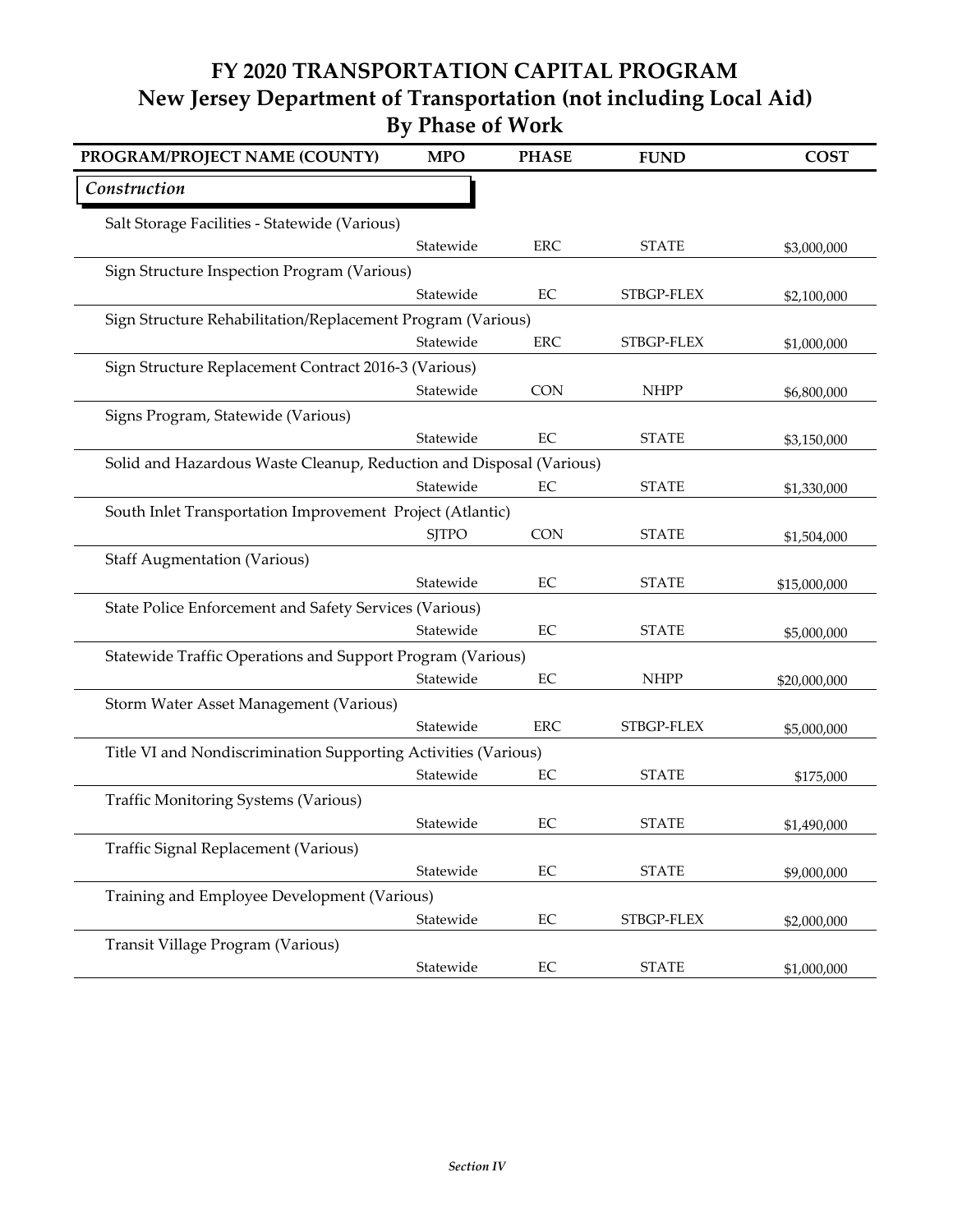| PROGRAM/PROJECT NAME (COUNTY)                                       | <b>MPO</b>   | <b>PHASE</b> | <b>FUND</b>  | <b>COST</b>  |
|---------------------------------------------------------------------|--------------|--------------|--------------|--------------|
| Construction                                                        |              |              |              |              |
| Salt Storage Facilities - Statewide (Various)                       |              |              |              |              |
|                                                                     | Statewide    | <b>ERC</b>   | <b>STATE</b> | \$3,000,000  |
| Sign Structure Inspection Program (Various)                         |              |              |              |              |
|                                                                     | Statewide    | $\rm EC$     | STBGP-FLEX   | \$2,100,000  |
| Sign Structure Rehabilitation/Replacement Program (Various)         |              |              |              |              |
|                                                                     | Statewide    | <b>ERC</b>   | STBGP-FLEX   | \$1,000,000  |
| Sign Structure Replacement Contract 2016-3 (Various)                |              |              |              |              |
|                                                                     | Statewide    | <b>CON</b>   | <b>NHPP</b>  | \$6,800,000  |
| Signs Program, Statewide (Various)                                  |              |              |              |              |
|                                                                     | Statewide    | $\rm EC$     | <b>STATE</b> | \$3,150,000  |
| Solid and Hazardous Waste Cleanup, Reduction and Disposal (Various) |              |              |              |              |
|                                                                     | Statewide    | EC           | <b>STATE</b> | \$1,330,000  |
| South Inlet Transportation Improvement Project (Atlantic)           |              |              |              |              |
|                                                                     | <b>SJTPO</b> | CON          | <b>STATE</b> | \$1,504,000  |
| <b>Staff Augmentation (Various)</b>                                 |              |              |              |              |
|                                                                     | Statewide    | EC           | <b>STATE</b> | \$15,000,000 |
| State Police Enforcement and Safety Services (Various)              |              |              |              |              |
|                                                                     | Statewide    | EC           | <b>STATE</b> | \$5,000,000  |
| Statewide Traffic Operations and Support Program (Various)          |              |              |              |              |
|                                                                     | Statewide    | $\rm EC$     | <b>NHPP</b>  | \$20,000,000 |
| Storm Water Asset Management (Various)                              |              |              |              |              |
|                                                                     | Statewide    | <b>ERC</b>   | STBGP-FLEX   | \$5,000,000  |
| Title VI and Nondiscrimination Supporting Activities (Various)      |              |              |              |              |
|                                                                     | Statewide    | EC           | <b>STATE</b> | \$175,000    |
| <b>Traffic Monitoring Systems (Various)</b>                         |              |              |              |              |
|                                                                     | Statewide    | EC           | <b>STATE</b> | \$1,490,000  |
| Traffic Signal Replacement (Various)                                |              |              |              |              |
|                                                                     | Statewide    | $\rm EC$     | <b>STATE</b> | \$9,000,000  |
| Training and Employee Development (Various)                         |              |              |              |              |
|                                                                     | Statewide    | $\rm EC$     | STBGP-FLEX   | \$2,000,000  |
| Transit Village Program (Various)                                   |              |              |              |              |
|                                                                     | Statewide    | $\rm EC$     | <b>STATE</b> | \$1,000,000  |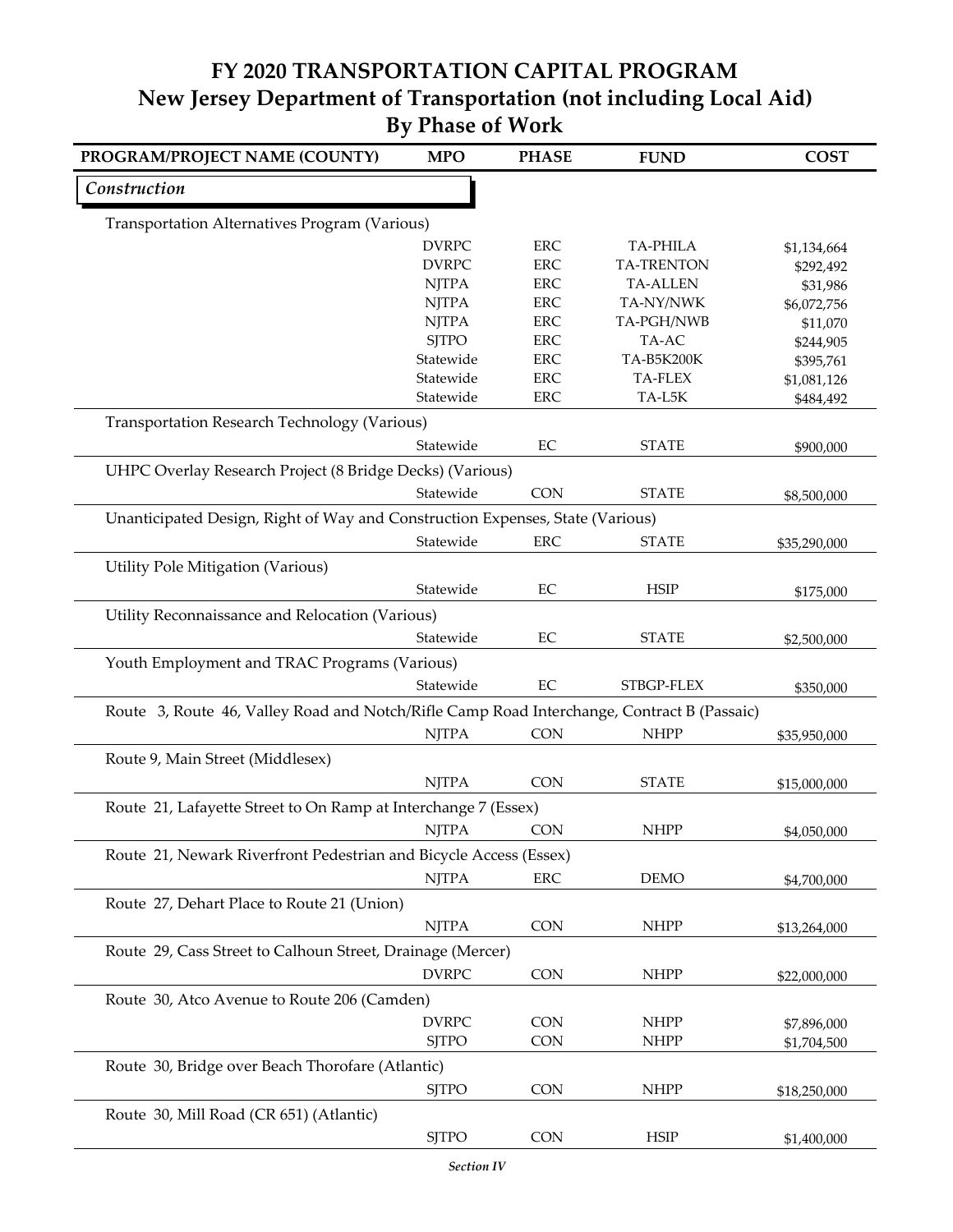| PROGRAM/PROJECT NAME (COUNTY)                                                              | <b>MPO</b>   | <b>PHASE</b> | <b>FUND</b>       | <b>COST</b>  |
|--------------------------------------------------------------------------------------------|--------------|--------------|-------------------|--------------|
| Construction                                                                               |              |              |                   |              |
| Transportation Alternatives Program (Various)                                              |              |              |                   |              |
|                                                                                            | <b>DVRPC</b> | <b>ERC</b>   | <b>TA-PHILA</b>   | \$1,134,664  |
|                                                                                            | <b>DVRPC</b> | <b>ERC</b>   | <b>TA-TRENTON</b> | \$292,492    |
|                                                                                            | <b>NJTPA</b> | <b>ERC</b>   | <b>TA-ALLEN</b>   | \$31,986     |
|                                                                                            | <b>NJTPA</b> | <b>ERC</b>   | TA-NY/NWK         | \$6,072,756  |
|                                                                                            | <b>NJTPA</b> | <b>ERC</b>   | TA-PGH/NWB        | \$11,070     |
|                                                                                            | <b>SJTPO</b> | <b>ERC</b>   | TA-AC             | \$244,905    |
|                                                                                            | Statewide    | <b>ERC</b>   | TA-B5K200K        | \$395,761    |
|                                                                                            | Statewide    | <b>ERC</b>   | <b>TA-FLEX</b>    | \$1,081,126  |
|                                                                                            | Statewide    | <b>ERC</b>   | TA-L5K            | \$484,492    |
| Transportation Research Technology (Various)                                               |              |              |                   |              |
|                                                                                            | Statewide    | $\rm EC$     | <b>STATE</b>      | \$900,000    |
| UHPC Overlay Research Project (8 Bridge Decks) (Various)                                   |              |              |                   |              |
|                                                                                            | Statewide    | <b>CON</b>   | <b>STATE</b>      | \$8,500,000  |
| Unanticipated Design, Right of Way and Construction Expenses, State (Various)              |              |              |                   |              |
|                                                                                            | Statewide    | <b>ERC</b>   | <b>STATE</b>      | \$35,290,000 |
| Utility Pole Mitigation (Various)                                                          |              |              |                   |              |
|                                                                                            | Statewide    | EC           | <b>HSIP</b>       | \$175,000    |
| Utility Reconnaissance and Relocation (Various)                                            |              |              |                   |              |
|                                                                                            | Statewide    | EC           | <b>STATE</b>      | \$2,500,000  |
| Youth Employment and TRAC Programs (Various)                                               |              |              |                   |              |
|                                                                                            | Statewide    | EC           | STBGP-FLEX        | \$350,000    |
| Route 3, Route 46, Valley Road and Notch/Rifle Camp Road Interchange, Contract B (Passaic) |              |              |                   |              |
|                                                                                            | <b>NJTPA</b> | CON          | <b>NHPP</b>       | \$35,950,000 |
| Route 9, Main Street (Middlesex)                                                           |              |              |                   |              |
|                                                                                            |              |              |                   |              |
|                                                                                            | <b>NJTPA</b> | <b>CON</b>   | <b>STATE</b>      | \$15,000,000 |
| Route 21, Lafayette Street to On Ramp at Interchange 7 (Essex)                             |              |              |                   |              |
|                                                                                            | <b>NJTPA</b> | <b>CON</b>   | <b>NHPP</b>       | \$4,050,000  |
| Route 21, Newark Riverfront Pedestrian and Bicycle Access (Essex)                          |              |              |                   |              |
|                                                                                            | <b>NJTPA</b> | <b>ERC</b>   | <b>DEMO</b>       | \$4,700,000  |
| Route 27, Dehart Place to Route 21 (Union)                                                 |              |              |                   |              |
|                                                                                            | <b>NJTPA</b> | CON          | <b>NHPP</b>       | \$13,264,000 |
| Route 29, Cass Street to Calhoun Street, Drainage (Mercer)                                 |              |              |                   |              |
|                                                                                            | <b>DVRPC</b> | <b>CON</b>   | <b>NHPP</b>       | \$22,000,000 |
|                                                                                            |              |              |                   |              |
| Route 30, Atco Avenue to Route 206 (Camden)                                                |              |              |                   |              |
|                                                                                            | <b>DVRPC</b> | <b>CON</b>   | <b>NHPP</b>       | \$7,896,000  |
|                                                                                            | <b>SJTPO</b> | CON          | <b>NHPP</b>       | \$1,704,500  |
| Route 30, Bridge over Beach Thorofare (Atlantic)                                           |              |              |                   |              |
|                                                                                            | <b>SJTPO</b> | CON          | <b>NHPP</b>       | \$18,250,000 |
| Route 30, Mill Road (CR 651) (Atlantic)                                                    |              |              |                   |              |
|                                                                                            | <b>SJTPO</b> | <b>CON</b>   | <b>HSIP</b>       | \$1,400,000  |
|                                                                                            |              |              |                   |              |